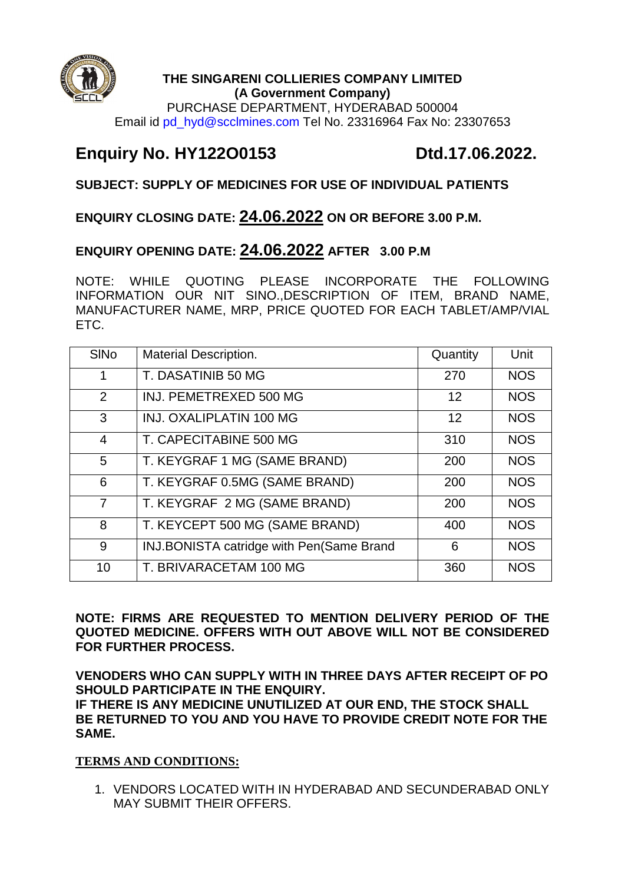

#### **THE SINGARENI COLLIERIES COMPANY LIMITED (A Government Company)**

PURCHASE DEPARTMENT, HYDERABAD 500004 Email id pd\_hyd@scclmines.com Tel No. 23316964 Fax No: 23307653

# **Enquiry No. HY122O0153 Dtd.17.06.2022.**

# **SUBJECT: SUPPLY OF MEDICINES FOR USE OF INDIVIDUAL PATIENTS**

# **ENQUIRY CLOSING DATE: 24.06.2022 ON OR BEFORE 3.00 P.M.**

# **ENQUIRY OPENING DATE: 24.06.2022 AFTER 3.00 P.M**

NOTE: WHILE QUOTING PLEASE INCORPORATE THE FOLLOWING INFORMATION OUR NIT SINO.,DESCRIPTION OF ITEM, BRAND NAME, MANUFACTURER NAME, MRP, PRICE QUOTED FOR EACH TABLET/AMP/VIAL ETC.

| <b>SINO</b>    | <b>Material Description.</b>             | Quantity | Unit       |
|----------------|------------------------------------------|----------|------------|
| 1              | T. DASATINIB 50 MG                       | 270      | <b>NOS</b> |
| 2              | INJ. PEMETREXED 500 MG                   | 12       | <b>NOS</b> |
| 3              | <b>INJ. OXALIPLATIN 100 MG</b>           | 12       | <b>NOS</b> |
| $\overline{4}$ | T. CAPECITABINE 500 MG                   | 310      | <b>NOS</b> |
| 5              | T. KEYGRAF 1 MG (SAME BRAND)             | 200      | <b>NOS</b> |
| 6              | T. KEYGRAF 0.5MG (SAME BRAND)            | 200      | <b>NOS</b> |
| $\overline{7}$ | T. KEYGRAF 2 MG (SAME BRAND)             | 200      | <b>NOS</b> |
| 8              | T. KEYCEPT 500 MG (SAME BRAND)           | 400      | <b>NOS</b> |
| 9              | INJ.BONISTA catridge with Pen(Same Brand | 6        | <b>NOS</b> |
| 10             | T. BRIVARACETAM 100 MG                   | 360      | <b>NOS</b> |

**NOTE: FIRMS ARE REQUESTED TO MENTION DELIVERY PERIOD OF THE QUOTED MEDICINE. OFFERS WITH OUT ABOVE WILL NOT BE CONSIDERED FOR FURTHER PROCESS.** 

**VENODERS WHO CAN SUPPLY WITH IN THREE DAYS AFTER RECEIPT OF PO SHOULD PARTICIPATE IN THE ENQUIRY. IF THERE IS ANY MEDICINE UNUTILIZED AT OUR END, THE STOCK SHALL BE RETURNED TO YOU AND YOU HAVE TO PROVIDE CREDIT NOTE FOR THE SAME.**

### **TERMS AND CONDITIONS:**

1. VENDORS LOCATED WITH IN HYDERABAD AND SECUNDERABAD ONLY MAY SUBMIT THEIR OFFERS.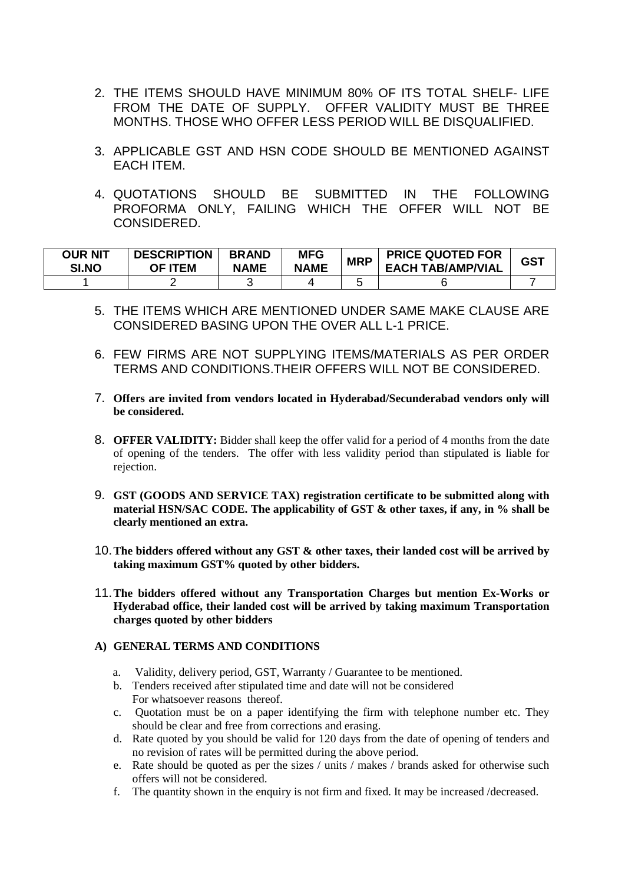- 2. THE ITEMS SHOULD HAVE MINIMUM 80% OF ITS TOTAL SHELF- LIFE FROM THE DATE OF SUPPLY. OFFER VALIDITY MUST BE THREE MONTHS. THOSE WHO OFFER LESS PERIOD WILL BE DISQUALIFIED.
- 3. APPLICABLE GST AND HSN CODE SHOULD BE MENTIONED AGAINST EACH ITEM.
- 4. QUOTATIONS SHOULD BE SUBMITTED IN THE FOLLOWING PROFORMA ONLY, FAILING WHICH THE OFFER WILL NOT BE CONSIDERED.

| <b>OUR NIT</b><br>SI.NO | <b>DESCRIPTION</b><br><b>OF ITEM</b> | <b>BRAND</b><br><b>NAME</b> | <b>MFG</b><br><b>NAME</b> | <b>MRP</b> | <b>PRICE QUOTED FOR</b><br><b>EACH TAB/AMP/VIAL</b> | <b>GST</b> |
|-------------------------|--------------------------------------|-----------------------------|---------------------------|------------|-----------------------------------------------------|------------|
|                         |                                      |                             |                           |            |                                                     |            |

- 5. THE ITEMS WHICH ARE MENTIONED UNDER SAME MAKE CLAUSE ARE CONSIDERED BASING UPON THE OVER ALL L-1 PRICE.
- 6. FEW FIRMS ARE NOT SUPPLYING ITEMS/MATERIALS AS PER ORDER TERMS AND CONDITIONS.THEIR OFFERS WILL NOT BE CONSIDERED.
- 7. **Offers are invited from vendors located in Hyderabad/Secunderabad vendors only will be considered.**
- 8. **OFFER VALIDITY:** Bidder shall keep the offer valid for a period of 4 months from the date of opening of the tenders. The offer with less validity period than stipulated is liable for rejection.
- 9. **GST (GOODS AND SERVICE TAX) registration certificate to be submitted along with material HSN/SAC CODE. The applicability of GST & other taxes, if any, in % shall be clearly mentioned an extra.**
- 10.**The bidders offered without any GST & other taxes, their landed cost will be arrived by taking maximum GST% quoted by other bidders.**
- 11.**The bidders offered without any Transportation Charges but mention Ex-Works or Hyderabad office, their landed cost will be arrived by taking maximum Transportation charges quoted by other bidders**

#### **A) GENERAL TERMS AND CONDITIONS**

- a. Validity, delivery period, GST, Warranty / Guarantee to be mentioned.
- b. Tenders received after stipulated time and date will not be considered For whatsoever reasons thereof.
- c. Quotation must be on a paper identifying the firm with telephone number etc. They should be clear and free from corrections and erasing.
- d. Rate quoted by you should be valid for 120 days from the date of opening of tenders and no revision of rates will be permitted during the above period.
- e. Rate should be quoted as per the sizes / units / makes / brands asked for otherwise such offers will not be considered.
- f. The quantity shown in the enquiry is not firm and fixed. It may be increased /decreased.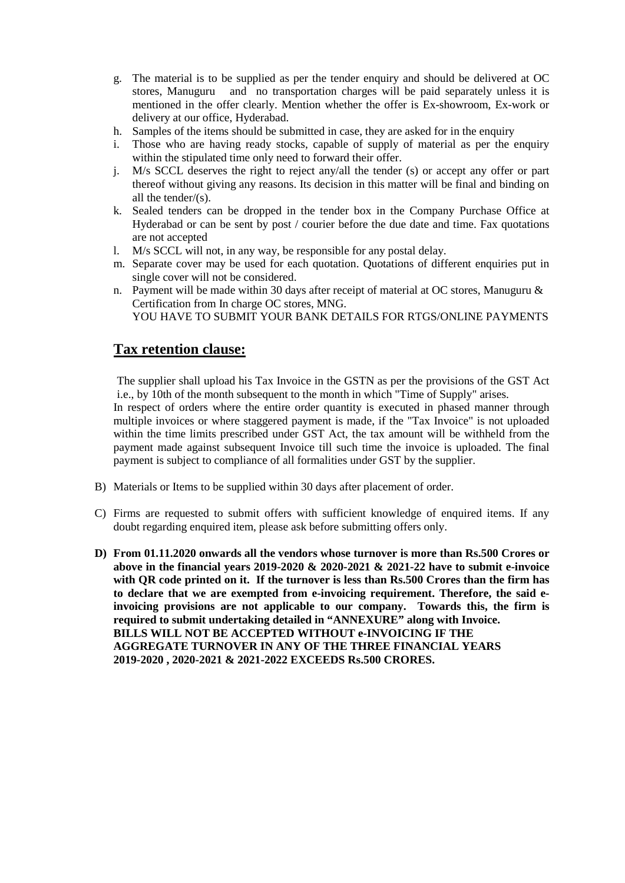- g. The material is to be supplied as per the tender enquiry and should be delivered at OC stores, Manuguru and no transportation charges will be paid separately unless it is mentioned in the offer clearly. Mention whether the offer is Ex-showroom, Ex-work or delivery at our office, Hyderabad.
- h. Samples of the items should be submitted in case, they are asked for in the enquiry
- i. Those who are having ready stocks, capable of supply of material as per the enquiry within the stipulated time only need to forward their offer.
- j. M/s SCCL deserves the right to reject any/all the tender (s) or accept any offer or part thereof without giving any reasons. Its decision in this matter will be final and binding on all the tender/(s).
- k. Sealed tenders can be dropped in the tender box in the Company Purchase Office at Hyderabad or can be sent by post / courier before the due date and time. Fax quotations are not accepted
- l. M/s SCCL will not, in any way, be responsible for any postal delay.
- m. Separate cover may be used for each quotation. Quotations of different enquiries put in single cover will not be considered.
- n. Payment will be made within 30 days after receipt of material at OC stores, Manuguru & Certification from In charge OC stores, MNG. YOU HAVE TO SUBMIT YOUR BANK DETAILS FOR RTGS/ONLINE PAYMENTS

## **Tax retention clause:**

The supplier shall upload his Tax Invoice in the GSTN as per the provisions of the GST Act i.e., by 10th of the month subsequent to the month in which "Time of Supply" arises.

In respect of orders where the entire order quantity is executed in phased manner through multiple invoices or where staggered payment is made, if the "Tax Invoice" is not uploaded within the time limits prescribed under GST Act, the tax amount will be withheld from the payment made against subsequent Invoice till such time the invoice is uploaded. The final payment is subject to compliance of all formalities under GST by the supplier.

- B) Materials or Items to be supplied within 30 days after placement of order.
- C) Firms are requested to submit offers with sufficient knowledge of enquired items. If any doubt regarding enquired item, please ask before submitting offers only.
- **D) From 01.11.2020 onwards all the vendors whose turnover is more than Rs.500 Crores or above in the financial years 2019-2020 & 2020-2021 & 2021-22 have to submit e-invoice with QR code printed on it. If the turnover is less than Rs.500 Crores than the firm has to declare that we are exempted from e-invoicing requirement. Therefore, the said einvoicing provisions are not applicable to our company. Towards this, the firm is required to submit undertaking detailed in "ANNEXURE" along with Invoice. BILLS WILL NOT BE ACCEPTED WITHOUT e-INVOICING IF THE AGGREGATE TURNOVER IN ANY OF THE THREE FINANCIAL YEARS 2019-2020 , 2020-2021 & 2021-2022 EXCEEDS Rs.500 CRORES.**